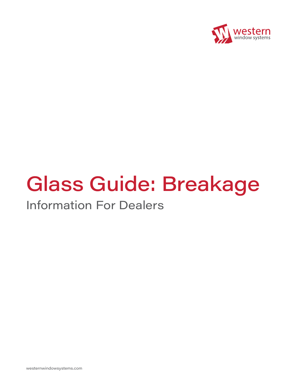

# Glass Guide: Breakage

## Information For Dealers

westernwindowsystems.com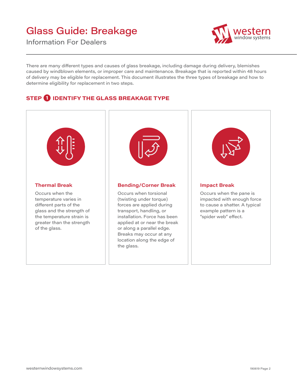### Glass Guide: Breakage

Information For Dealers



There are many different types and causes of glass breakage, including damage during delivery, blemishes caused by windblown elements, or improper care and maintenance. Breakage that is reported within 48 hours of delivery may be eligible for replacement. This document illustrates the three types of breakage and how to determine eligibility for replacement in two steps.

#### **STEP 1 IDENTIFY THE GLASS BREAKAGE TYPE**